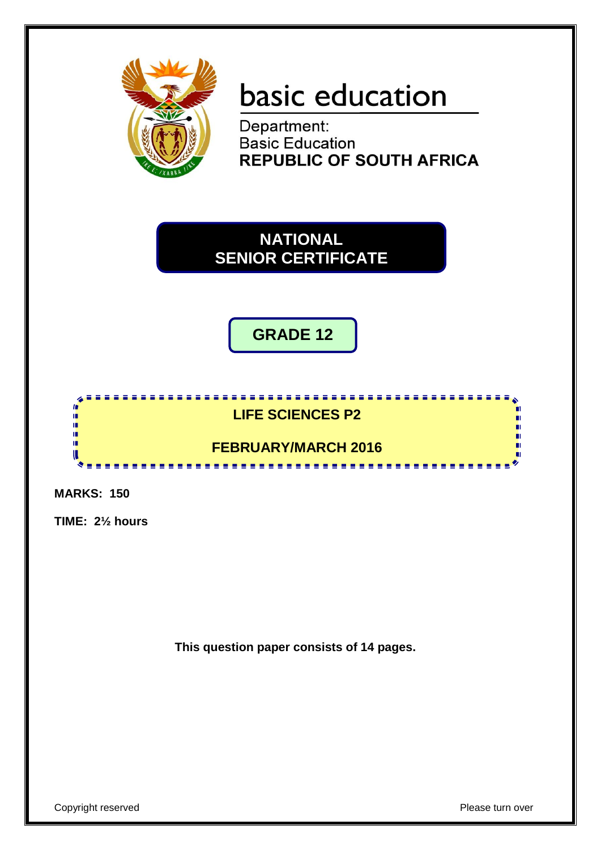

# basic education

Department: **Basic Education REPUBLIC OF SOUTH AFRICA** 

**NATIONAL SENIOR CERTIFICATE**

**GRADE 12**

# <u>.................</u> **LIFE SCIENCES P2**

**FEBRUARY/MARCH 2016** <u>.........................</u>

**MARKS: 150**

**In** 10 φ, ú, œ U

**TIME: 2½ hours**

**This question paper consists of 14 pages.**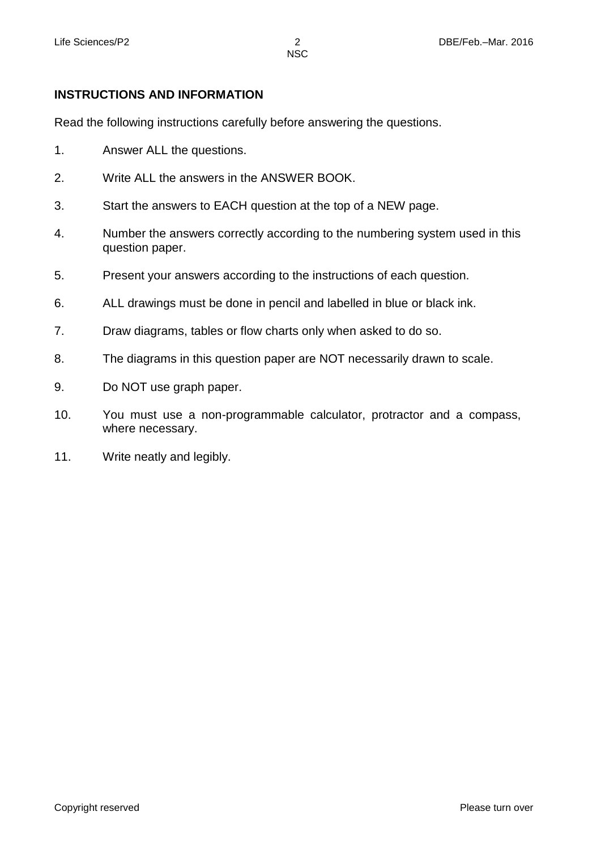# **INSTRUCTIONS AND INFORMATION**

Read the following instructions carefully before answering the questions.

- 1. Answer ALL the questions.
- 2. Write ALL the answers in the ANSWER BOOK.
- 3. Start the answers to EACH question at the top of a NEW page.
- 4. Number the answers correctly according to the numbering system used in this question paper.
- 5. Present your answers according to the instructions of each question.
- 6. ALL drawings must be done in pencil and labelled in blue or black ink.
- 7. Draw diagrams, tables or flow charts only when asked to do so.
- 8. The diagrams in this question paper are NOT necessarily drawn to scale.
- 9. Do NOT use graph paper.
- 10. You must use a non-programmable calculator, protractor and a compass, where necessary.
- 11. Write neatly and legibly.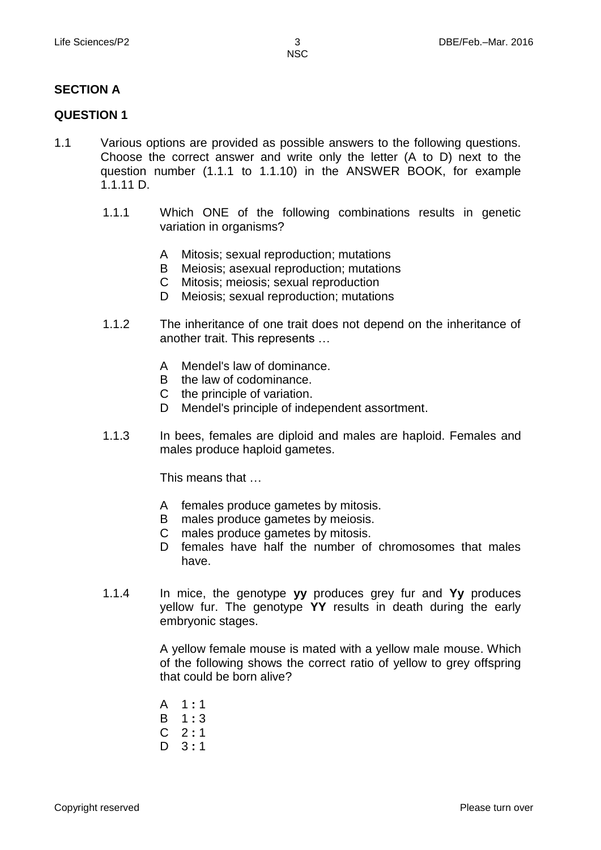#### **SECTION A**

#### **QUESTION 1**

- 1.1 Various options are provided as possible answers to the following questions. Choose the correct answer and write only the letter (A to D) next to the question number (1.1.1 to 1.1.10) in the ANSWER BOOK, for example 1.1.11 D.
	- 1.1.1 Which ONE of the following combinations results in genetic variation in organisms?
		- A Mitosis; sexual reproduction; mutations
		- B Meiosis; asexual reproduction; mutations
		- C Mitosis; meiosis; sexual reproduction
		- D Meiosis; sexual reproduction; mutations
	- 1.1.2 The inheritance of one trait does not depend on the inheritance of another trait. This represents …
		- A Mendel's law of dominance.
		- B the law of codominance.
		- C the principle of variation.
		- D Mendel's principle of independent assortment.
	- 1.1.3 In bees, females are diploid and males are haploid. Females and males produce haploid gametes.

This means that …

- A females produce gametes by mitosis.
- B males produce gametes by meiosis.
- C males produce gametes by mitosis.
- D females have half the number of chromosomes that males have.
- 1.1.4 In mice, the genotype **yy** produces grey fur and **Yy** produces yellow fur. The genotype **YY** results in death during the early embryonic stages.

A yellow female mouse is mated with a yellow male mouse. Which of the following shows the correct ratio of yellow to grey offspring that could be born alive?

- A 1 **:** 1
- B 1 **:** 3
- C 2 **:** 1
- D 3 **:** 1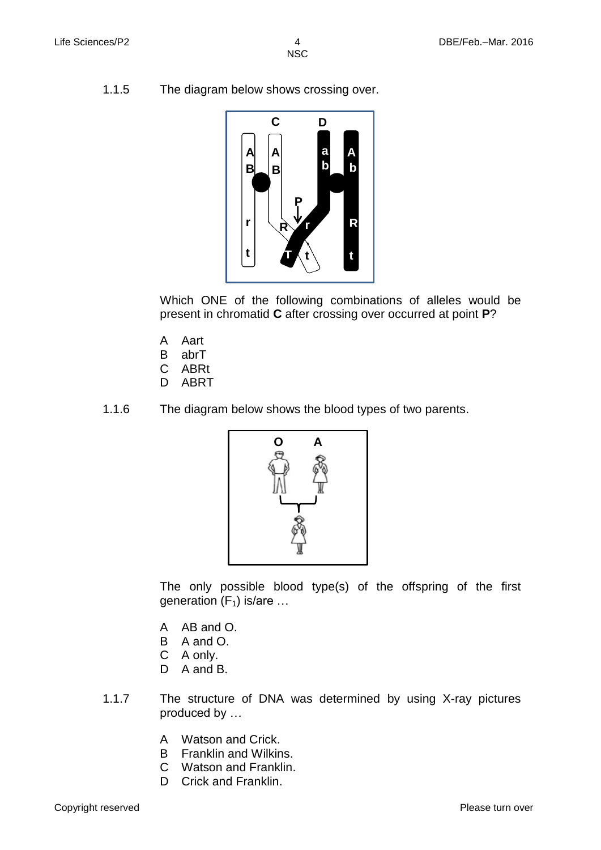1.1.5 The diagram below shows crossing over.



Which ONE of the following combinations of alleles would be present in chromatid **C** after crossing over occurred at point **P**?

- A Aart
- B abrT
- $\mathsf{C}$ ABRt
- D ABRT
- 1.1.6 The diagram below shows the blood types of two parents.



The only possible blood type(s) of the offspring of the first generation  $(F_1)$  is/are ...

- A AB and O.
- B A and O.
- C A only.
- D A and B.
- 1.1.7 The structure of DNA was determined by using X-ray pictures produced by …
	- A Watson and Crick.
	- B Franklin and Wilkins.
	- C Watson and Franklin.
	- D Crick and Franklin.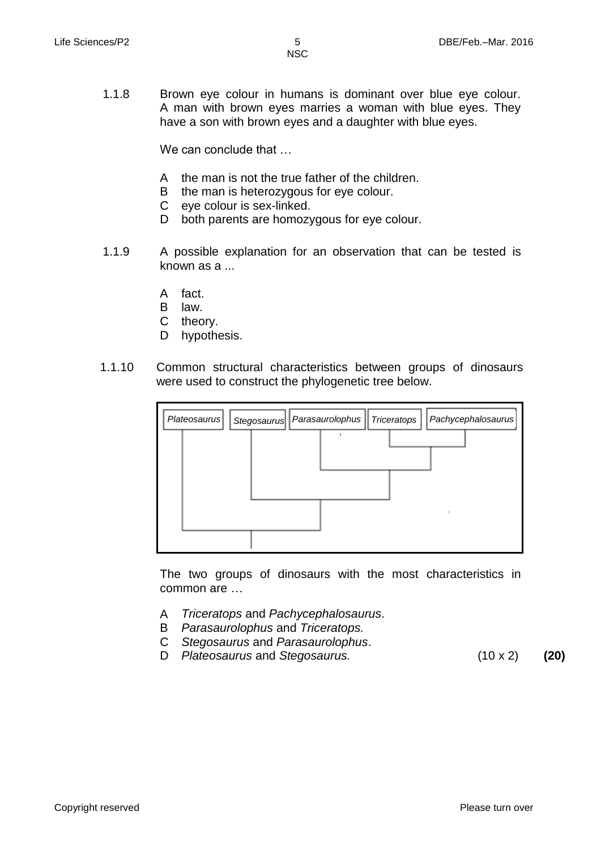1.1.8 Brown eye colour in humans is dominant over blue eye colour. A man with brown eyes marries a woman with blue eyes. They have a son with brown eyes and a daughter with blue eyes.

We can conclude that …

- A the man is not the true father of the children.
- B the man is heterozygous for eye colour.
- C eye colour is sex-linked.
- D both parents are homozygous for eye colour.
- 1.1.9 A possible explanation for an observation that can be tested is known as a ...
	- A fact.
	- B law.
	- C theory.
	- D hypothesis.
- 1.1.10 Common structural characteristics between groups of dinosaurs were used to construct the phylogenetic tree below.



The two groups of dinosaurs with the most characteristics in common are …

- A *Triceratops* and *Pachycephalosaurus*.
- B *Parasaurolophus* and *Triceratops.*
- C *Stegosaurus* and *Parasaurolophus*.
- D *Plateosaurus* and *Stegosaurus.* (10 x 2) **(20)**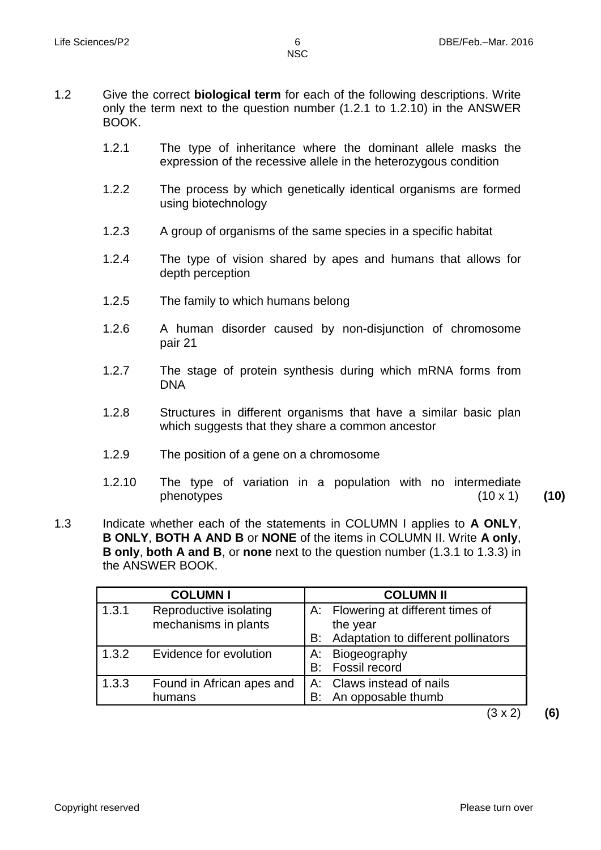1.2 Give the correct **biological term** for each of the following descriptions. Write only the term next to the question number (1.2.1 to 1.2.10) in the ANSWER BOOK.

- 1.2.1 The type of inheritance where the dominant allele masks the expression of the recessive allele in the heterozygous condition
- 1.2.2 The process by which genetically identical organisms are formed using biotechnology
- 1.2.3 A group of organisms of the same species in a specific habitat
- 1.2.4 The type of vision shared by apes and humans that allows for depth perception
- 1.2.5 The family to which humans belong
- 1.2.6 A human disorder caused by non-disjunction of chromosome pair 21
- 1.2.7 The stage of protein synthesis during which mRNA forms from DNA
- 1.2.8 Structures in different organisms that have a similar basic plan which suggests that they share a common ancestor
- 1.2.9 The position of a gene on a chromosome
- 1.2.10 The type of variation in a population with no intermediate phenotypes (10 x 1) **(10)**
- 1.3 Indicate whether each of the statements in COLUMN I applies to **A ONLY**, **B ONLY**, **BOTH A AND B** or **NONE** of the items in COLUMN II. Write **A only**, **B only**, **both A and B**, or **none** next to the question number (1.3.1 to 1.3.3) in the ANSWER BOOK.

|       | <b>COLUMN I</b>                                |    | <b>COLUMN II</b>                                                                      |
|-------|------------------------------------------------|----|---------------------------------------------------------------------------------------|
| 1.3.1 | Reproductive isolating<br>mechanisms in plants | B: | A: Flowering at different times of<br>the year<br>Adaptation to different pollinators |
| 1.3.2 | Evidence for evolution                         | А: | Biogeography<br>B: Fossil record                                                      |
| 1.3.3 | Found in African apes and<br>humans            |    | A: Claws instead of nails<br>B: An opposable thumb                                    |

(3 x 2) **(6)**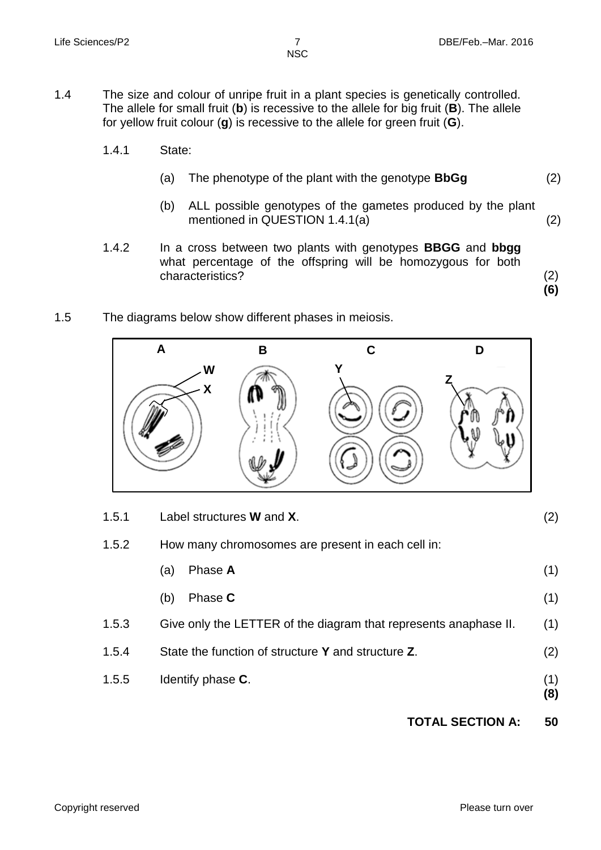**(6)**

- 1.4 The size and colour of unripe fruit in a plant species is genetically controlled. The allele for small fruit (**b**) is recessive to the allele for big fruit (**B**). The allele for yellow fruit colour (**g**) is recessive to the allele for green fruit (**G**).
	- 1.4.1 State:
		- (a) The phenotype of the plant with the genotype **BbGg** (2)
		- (b) ALL possible genotypes of the gametes produced by the plant mentioned in QUESTION 1.4.1(a) (2)
	- 1.4.2 In a cross between two plants with genotypes **BBGG** and **bbgg** what percentage of the offspring will be homozygous for both characteristics? (2)
- 1.5 The diagrams below show different phases in meiosis.



| 1.5.1 | Label structures <b>W</b> and <b>X</b> .                         | (2)        |
|-------|------------------------------------------------------------------|------------|
| 1.5.2 | How many chromosomes are present in each cell in:                |            |
|       | Phase A<br>(a)                                                   | (1)        |
|       | Phase C<br>(b)                                                   | (1)        |
| 1.5.3 | Give only the LETTER of the diagram that represents anaphase II. | (1)        |
| 1.5.4 | State the function of structure Y and structure Z.               | (2)        |
| 1.5.5 | Identify phase C.                                                | (1)<br>(8) |

# **TOTAL SECTION A: 50**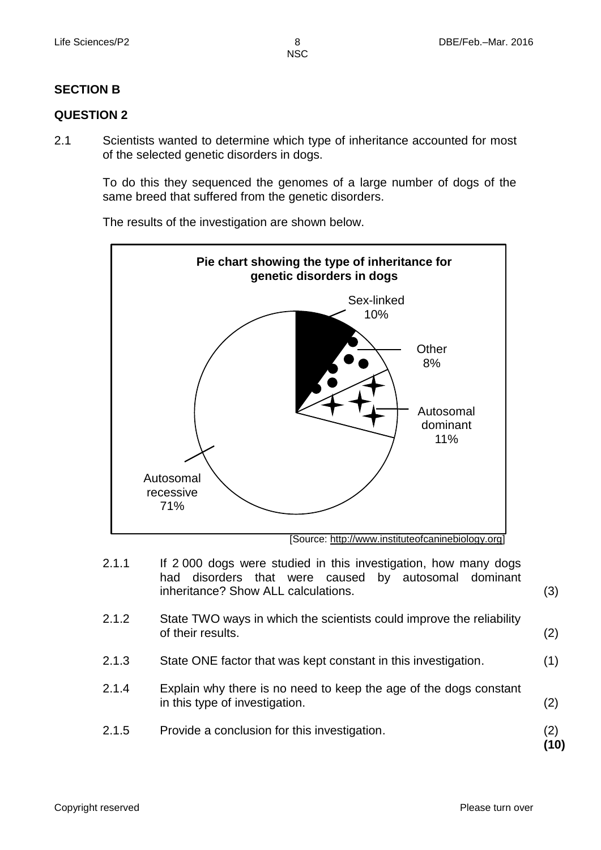# **SECTION B**

#### **QUESTION 2**

2.1 Scientists wanted to determine which type of inheritance accounted for most of the selected genetic disorders in dogs.

> To do this they sequenced the genomes of a large number of dogs of the same breed that suffered from the genetic disorders.

The results of the investigation are shown below.



[Source: http://www.instituteofcaninebiology.org]

- 2.1.1 If 2 000 dogs were studied in this investigation, how many dogs had disorders that were caused by autosomal dominant inheritance? Show ALL calculations. (3)
- 2.1.2 State TWO ways in which the scientists could improve the reliability of their results. (2)
- 2.1.3 State ONE factor that was kept constant in this investigation. (1)
- 2.1.4 Explain why there is no need to keep the age of the dogs constant in this type of investigation. (2)
- 2.1.5 Provide a conclusion for this investigation.

(2) **(10)**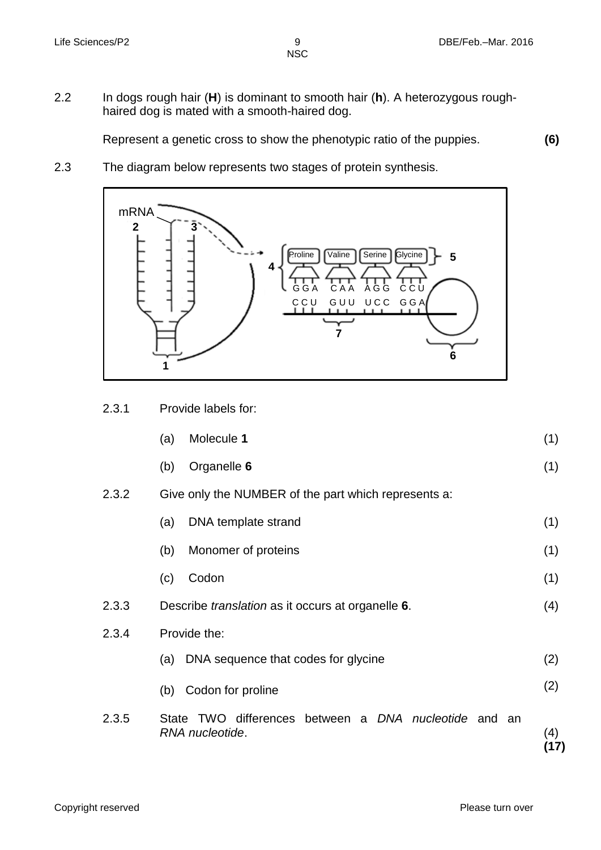2.2 In dogs rough hair (**H**) is [dominant](http://www.k-state.edu/biology/pob/genetics/defin.htm#dom) to smooth hair (**h**). A [heterozygous](http://www.k-state.edu/biology/pob/genetics/defin.htm#hom) roughhaired dog is mated with a smooth-haired dog.

Represent a genetic cross to show the phenotypic ratio of the puppies. **(6)**

2.3 The diagram below represents two stages of protein synthesis.



2.3.1 Provide labels for:

| (a) | Molecule 1 |  |
|-----|------------|--|
|     |            |  |

- (b) Organelle **6**
- 2.3.2 Give only the NUMBER of the part which represents a:
	- (a) DNA template strand (1)
		- (b) Monomer of proteins (1)
- (c) Codon
- 2.3.3 Describe *translation* as it occurs at organelle **6**. (4)
- 2.3.4 Provide the:
	- (a) DNA sequence that codes for glycine (2)
	- (b) Codon for proline (2)
	- 2.3.5 State TWO differences between a *DNA nucleotide* and an *RNA nucleotide*. (4)

**(17)**

(1)

(1)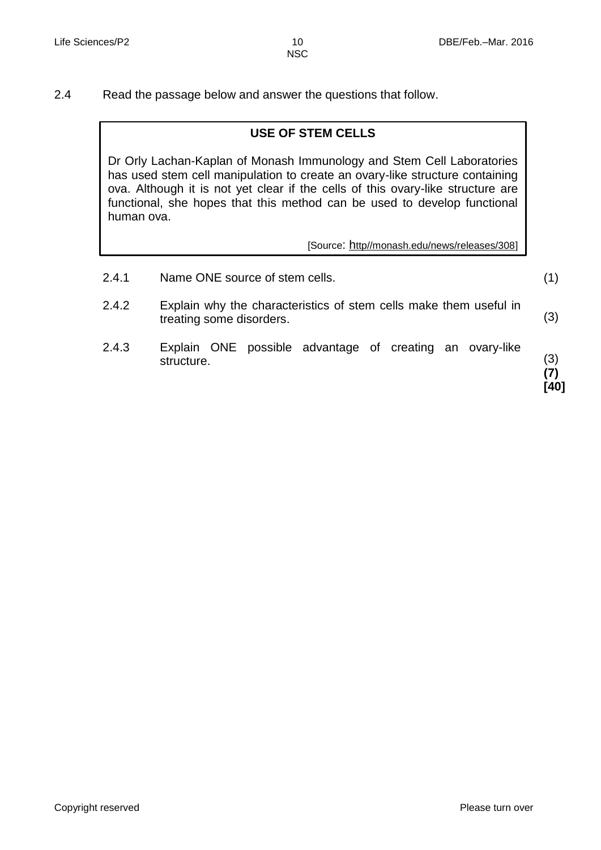2.4 Read the passage below and answer the questions that follow.

#### **USE OF STEM CELLS**

Dr Orly Lachan-Kaplan of Monash Immunology and Stem Cell Laboratories has used stem cell manipulation to create an ovary-like structure containing ova. Although it is not yet clear if the cells of this ovary-like structure are functional, she hopes that this method can be used to develop functional human ova.

[Source: http//monash.edu/news/releases/308]

- 2.4.1 Name ONE source of stem cells.
- 2.4.2 Explain why the characteristics of stem cells make them useful in treating some disorders. (3)
- 2.4.3 Explain ONE possible advantage of creating an ovary-like structure.

(3) **(7) [40]**

(1)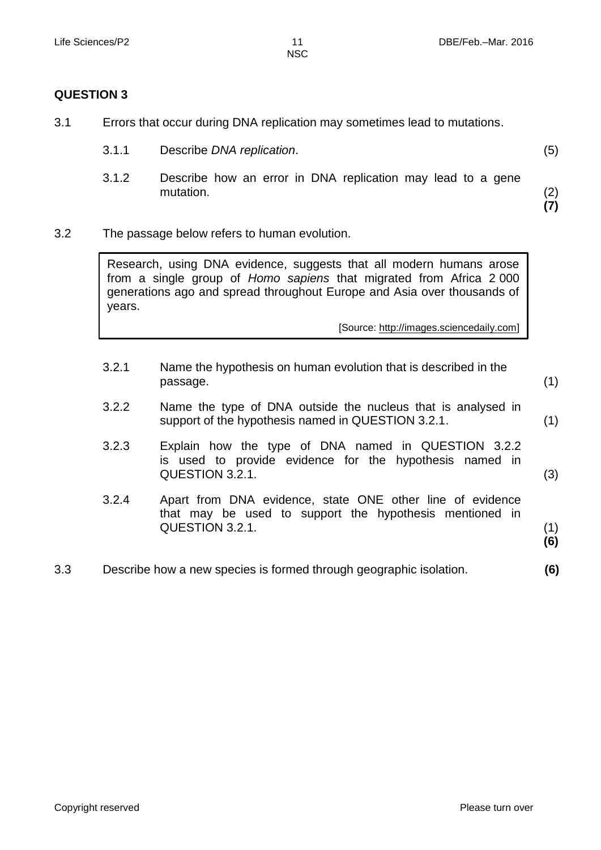#### **QUESTION 3**

3.1 Errors that occur during DNA replication may sometimes lead to mutations.

| 3.1.1 | Describe DNA replication. |  |
|-------|---------------------------|--|
|       |                           |  |

3.1.2 Describe how an error in DNA replication may lead to a gene mutation.

(2) **(7)**

(1)

(3)

(1) **(6)**

3.2 The passage below refers to human evolution.

Research, using DNA evidence, suggests that all modern humans arose from a single group of *Homo sapiens* that migrated from Africa 2 000 generations ago and spread throughout Europe and Asia over thousands of years.

[Source: http://images.sciencedaily.com]

- 3.2.1 Name the hypothesis on human evolution that is described in the passage.
- 3.2.2 Name the type of DNA outside the nucleus that is analysed in support of the hypothesis named in QUESTION 3.2.1. (1)
- 3.2.3 Explain how the type of DNA named in QUESTION 3.2.2 is used to provide evidence for the hypothesis named in QUESTION 3.2.1.
- 3.2.4 Apart from DNA evidence, state ONE other line of evidence that may be used to support the hypothesis mentioned in QUESTION 3.2.1.
- 3.3 Describe how a new species is formed through geographic isolation. **(6)**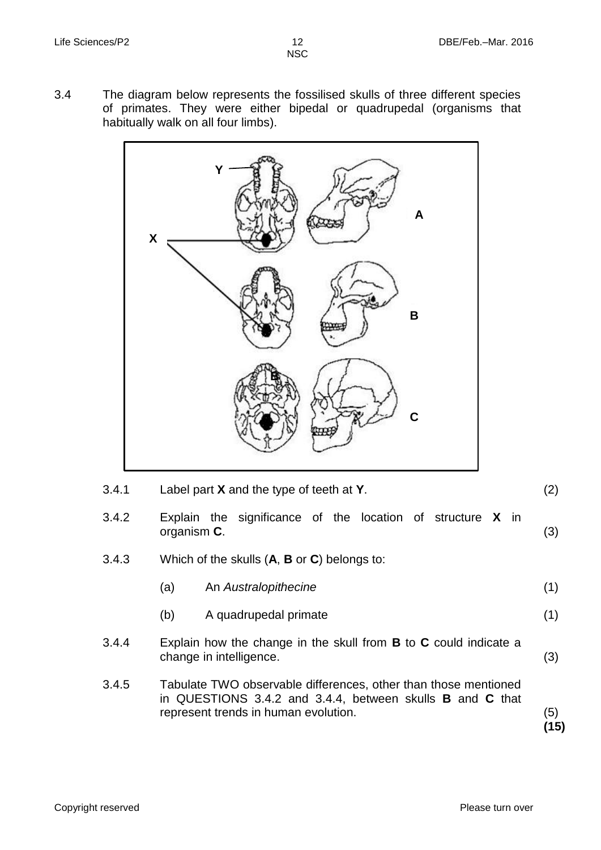3.4 The diagram below represents the fossilised skulls of three different species of primates. They were either bipedal or quadrupedal (organisms that habitually walk on all four limbs).



| 3.4.1 | Label part $X$ and the type of teeth at $Y$ . |  |
|-------|-----------------------------------------------|--|
|       |                                               |  |

- 3.4.2 Explain the significance of the location of structure **X** in organism **C**. (3)
- 3.4.3 Which of the skulls (**A**, **B** or **C**) belongs to:

| (a) | An Australopithecine |  |
|-----|----------------------|--|
|     |                      |  |

- (b) A quadrupedal primate (1)
- 3.4.4 Explain how the change in the skull from **B** to **C** could indicate a change in intelligence. (3)
- 3.4.5 Tabulate TWO observable differences, other than those mentioned in QUESTIONS 3.4.2 and 3.4.4, between skulls **B** and **C** that represent trends in human evolution.

(5) **(15)**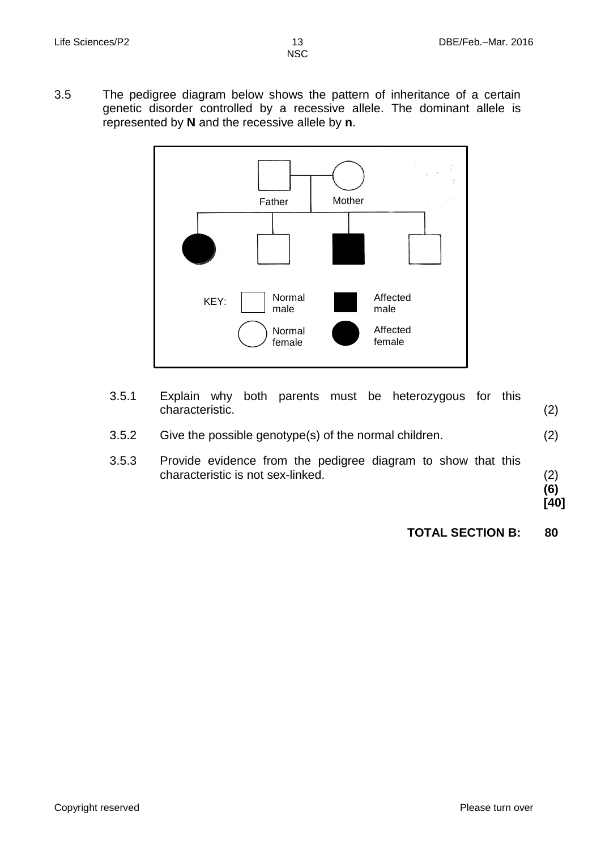3.5 The pedigree diagram below shows the pattern of inheritance of a certain genetic disorder controlled by a recessive allele. The dominant allele is represented by **N** and the recessive allele by **n**.



| 3.5.1 | both parents must be heterozygous for this<br>Explain why<br>characteristic.                      | (2)                |
|-------|---------------------------------------------------------------------------------------------------|--------------------|
| 3.5.2 | Give the possible genotype(s) of the normal children.                                             | (2)                |
| 3.5.3 | Provide evidence from the pedigree diagram to show that this<br>characteristic is not sex-linked. | (2)<br>(6)<br>[40] |
|       | <b>TOTAL SECTION B:</b>                                                                           | 80                 |